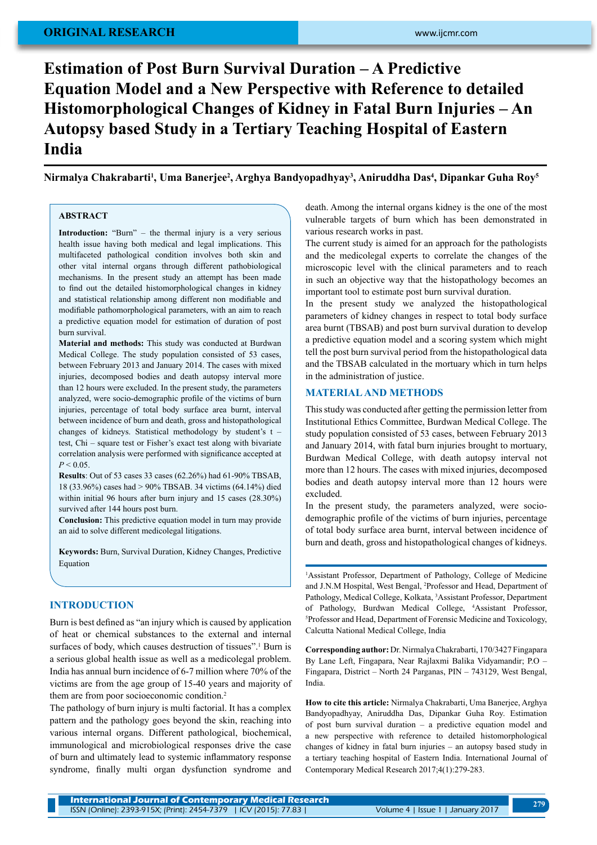# **original research**

# **Estimation of Post Burn Survival Duration – A Predictive Equation Model and a New Perspective with Reference to detailed Histomorphological Changes of Kidney in Fatal Burn Injuries – An Autopsy based Study in a Tertiary Teaching Hospital of Eastern India**

**Nirmalya Chakrabarti1 , Uma Banerjee2 , Arghya Bandyopadhyay3 , Aniruddha Das4 , Dipankar Guha Roy5**

## **ABSTRACT**

**Introduction:** "Burn" – the thermal injury is a very serious health issue having both medical and legal implications. This multifaceted pathological condition involves both skin and other vital internal organs through different pathobiological mechanisms. In the present study an attempt has been made to find out the detailed histomorphological changes in kidney and statistical relationship among different non modifiable and modifiable pathomorphological parameters, with an aim to reach a predictive equation model for estimation of duration of post burn survival.

**Material and methods:** This study was conducted at Burdwan Medical College. The study population consisted of 53 cases, between February 2013 and January 2014. The cases with mixed injuries, decomposed bodies and death autopsy interval more than 12 hours were excluded. In the present study, the parameters analyzed, were socio-demographic profile of the victims of burn injuries, percentage of total body surface area burnt, interval between incidence of burn and death, gross and histopathological changes of kidneys. Statistical methodology by student's t – test, Chi – square test or Fisher's exact test along with bivariate correlation analysis were performed with significance accepted at  $P < 0.05$ 

**Results**: Out of 53 cases 33 cases (62.26%) had 61-90% TBSAB, 18 (33.96%) cases had > 90% TBSAB. 34 victims (64.14%) died within initial 96 hours after burn injury and 15 cases (28.30%) survived after 144 hours post burn.

**Conclusion:** This predictive equation model in turn may provide an aid to solve different medicolegal litigations.

**Keywords:** Burn, Survival Duration, Kidney Changes, Predictive Equation

#### **IntroductioN**

Burn is best defined as "an injury which is caused by application of heat or chemical substances to the external and internal surfaces of body, which causes destruction of tissues".<sup>1</sup> Burn is a serious global health issue as well as a medicolegal problem. India has annual burn incidence of 6-7 million where 70% of the victims are from the age group of 15-40 years and majority of them are from poor socioeconomic condition.<sup>2</sup>

The pathology of burn injury is multi factorial. It has a complex pattern and the pathology goes beyond the skin, reaching into various internal organs. Different pathological, biochemical, immunological and microbiological responses drive the case of burn and ultimately lead to systemic inflammatory response syndrome, finally multi organ dysfunction syndrome and death. Among the internal organs kidney is the one of the most vulnerable targets of burn which has been demonstrated in various research works in past.

The current study is aimed for an approach for the pathologists and the medicolegal experts to correlate the changes of the microscopic level with the clinical parameters and to reach in such an objective way that the histopathology becomes an important tool to estimate post burn survival duration.

In the present study we analyzed the histopathological parameters of kidney changes in respect to total body surface area burnt (TBSAB) and post burn survival duration to develop a predictive equation model and a scoring system which might tell the post burn survival period from the histopathological data and the TBSAB calculated in the mortuary which in turn helps in the administration of justice.

#### **Material and methods**

This study was conducted after getting the permission letter from Institutional Ethics Committee, Burdwan Medical College. The study population consisted of 53 cases, between February 2013 and January 2014, with fatal burn injuries brought to mortuary, Burdwan Medical College, with death autopsy interval not more than 12 hours. The cases with mixed injuries, decomposed bodies and death autopsy interval more than 12 hours were excluded.

In the present study, the parameters analyzed, were sociodemographic profile of the victims of burn injuries, percentage of total body surface area burnt, interval between incidence of burn and death, gross and histopathological changes of kidneys.

1 Assistant Professor, Department of Pathology, College of Medicine and J.N.M Hospital, West Bengal, 2 Professor and Head, Department of Pathology, Medical College, Kolkata, <sup>3</sup>Assistant Professor, Department of Pathology, Burdwan Medical College, 4 Assistant Professor, 5 Professor and Head, Department of Forensic Medicine and Toxicology, Calcutta National Medical College, India

**Corresponding author:** Dr. Nirmalya Chakrabarti, 170/3427 Fingapara By Lane Left, Fingapara, Near Rajlaxmi Balika Vidyamandir; P.O – Fingapara, District – North 24 Parganas, PIN – 743129, West Bengal, India.

**How to cite this article:** Nirmalya Chakrabarti, Uma Banerjee, Arghya Bandyopadhyay, Aniruddha Das, Dipankar Guha Roy. Estimation of post burn survival duration – a predictive equation model and a new perspective with reference to detailed histomorphological changes of kidney in fatal burn injuries – an autopsy based study in a tertiary teaching hospital of Eastern India. International Journal of Contemporary Medical Research 2017;4(1):279-283.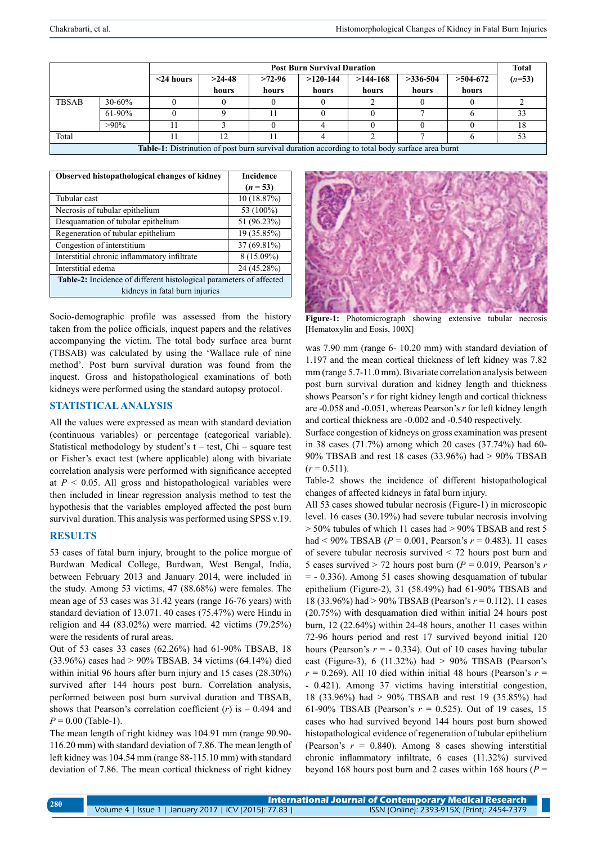|                                                                                                        |            | <b>Post Burn Survival Duration</b> |          |        |            |            |            |            | <b>Total</b> |
|--------------------------------------------------------------------------------------------------------|------------|------------------------------------|----------|--------|------------|------------|------------|------------|--------------|
|                                                                                                        |            | $<$ 24 hours                       | $>24-48$ | >72.96 | $>120-144$ | $>144-168$ | $>336-504$ | $>504-672$ | $(n=53)$     |
|                                                                                                        |            |                                    | hours    | hours  | hours      | hours      | hours      | hours      |              |
| <b>TBSAB</b>                                                                                           | $30 - 60%$ |                                    |          |        |            |            |            |            |              |
|                                                                                                        | $61-90%$   |                                    |          |        |            |            |            |            |              |
|                                                                                                        | $>90\%$    |                                    |          |        |            |            |            |            |              |
| Total                                                                                                  |            |                                    | 12       |        |            |            |            |            |              |
| <b>Table-1:</b> Distrinution of post burn survival duration according to total body surface area burnt |            |                                    |          |        |            |            |            |            |              |

| Observed histopathological changes of kidney                               | <b>Incidence</b> |  |  |  |  |  |
|----------------------------------------------------------------------------|------------------|--|--|--|--|--|
|                                                                            | $(n = 53)$       |  |  |  |  |  |
| Tubular cast                                                               | 10(18.87%)       |  |  |  |  |  |
| Necrosis of tubular epithelium                                             | 53 (100%)        |  |  |  |  |  |
| Desquamation of tubular epithelium                                         | 51 (96.23%)      |  |  |  |  |  |
| Regeneration of tubular epithelium                                         | 19 (35.85%)      |  |  |  |  |  |
| Congestion of interstitium                                                 | 37 (69.81%)      |  |  |  |  |  |
| Interstitial chronic inflammatory infiltrate                               | $8(15.09\%)$     |  |  |  |  |  |
| Interstitial edema                                                         | 24 (45.28%)      |  |  |  |  |  |
| <b>Table-2:</b> Incidence of different histological parameters of affected |                  |  |  |  |  |  |
| kidneys in fatal burn injuries                                             |                  |  |  |  |  |  |

Socio-demographic profile was assessed from the history taken from the police officials, inquest papers and the relatives accompanying the victim. The total body surface area burnt (TBSAB) was calculated by using the 'Wallace rule of nine method'. Post burn survival duration was found from the inquest. Gross and histopathological examinations of both kidneys were performed using the standard autopsy protocol.

# **Statistical analysis**

All the values were expressed as mean with standard deviation (continuous variables) or percentage (categorical variable). Statistical methodology by student's  $t - test$ , Chi – square test or Fisher's exact test (where applicable) along with bivariate correlation analysis were performed with significance accepted at  $P \leq 0.05$ . All gross and histopathological variables were then included in linear regression analysis method to test the hypothesis that the variables employed affected the post burn survival duration. This analysis was performed using SPSS v.19.

## **Results**

53 cases of fatal burn injury, brought to the police morgue of Burdwan Medical College, Burdwan, West Bengal, India, between February 2013 and January 2014, were included in the study. Among 53 victims, 47 (88.68%) were females. The mean age of 53 cases was 31.42 years (range 16-76 years) with standard deviation of 13.071. 40 cases (75.47%) were Hindu in religion and 44 (83.02%) were married. 42 victims (79.25%) were the residents of rural areas.

Out of 53 cases 33 cases (62.26%) had 61-90% TBSAB, 18 (33.96%) cases had > 90% TBSAB. 34 victims (64.14%) died within initial 96 hours after burn injury and 15 cases (28.30%) survived after 144 hours post burn. Correlation analysis, performed between post burn survival duration and TBSAB, shows that Pearson's correlation coefficient  $(r)$  is  $-0.494$  and  $P = 0.00$  (Table-1).

The mean length of right kidney was 104.91 mm (range 90.90- 116.20 mm) with standard deviation of 7.86. The mean length of left kidney was 104.54 mm (range 88-115.10 mm) with standard deviation of 7.86. The mean cortical thickness of right kidney



**Figure-1:** Photomicrograph showing extensive tubular necrosis [Hematoxylin and Eosis, 100X]

was 7.90 mm (range 6- 10.20 mm) with standard deviation of 1.197 and the mean cortical thickness of left kidney was 7.82 mm (range 5.7-11.0 mm). Bivariate correlation analysis between post burn survival duration and kidney length and thickness shows Pearson's *r* for right kidney length and cortical thickness are -0.058 and -0.051, whereas Pearson's *r* for left kidney length and cortical thickness are -0.002 and -0.540 respectively.

Surface congestion of kidneys on gross examination was present in 38 cases (71.7%) among which 20 cases (37.74%) had 60- 90% TBSAB and rest 18 cases (33.96%) had > 90% TBSAB  $(r = 0.511)$ .

Table-2 shows the incidence of different histopathological changes of affected kidneys in fatal burn injury.

All 53 cases showed tubular necrosis (Figure-1) in microscopic level. 16 cases (30.19%) had severe tubular necrosis involving > 50% tubules of which 11 cases had > 90% TBSAB and rest 5 had < 90% TBSAB (*P* = 0.001, Pearson's *r* = 0.483). 11 cases of severe tubular necrosis survived < 72 hours post burn and 5 cases survived  $>$  72 hours post burn ( $P = 0.019$ , Pearson's *r*  $= -0.336$ ). Among 51 cases showing desquamation of tubular epithelium (Figure-2), 31 (58.49%) had 61-90% TBSAB and 18 (33.96%) had > 90% TBSAB (Pearson's *r* = 0.112). 11 cases (20.75%) with desquamation died within initial 24 hours post burn, 12 (22.64%) within 24-48 hours, another 11 cases within 72-96 hours period and rest 17 survived beyond initial 120 hours (Pearson's  $r = -0.334$ ). Out of 10 cases having tubular cast (Figure-3), 6 (11.32%) had  $> 90\%$  TBSAB (Pearson's  $r = 0.269$ ). All 10 died within initial 48 hours (Pearson's  $r =$ - 0.421). Among 37 victims having interstitial congestion, 18 (33.96%) had > 90% TBSAB and rest 19 (35.85%) had 61-90% TBSAB (Pearson's *r* = 0.525). Out of 19 cases, 15 cases who had survived beyond 144 hours post burn showed histopathological evidence of regeneration of tubular epithelium (Pearson's  $r = 0.840$ ). Among 8 cases showing interstitial chronic inflammatory infiltrate, 6 cases (11.32%) survived beyond 168 hours post burn and 2 cases within 168 hours (*P* =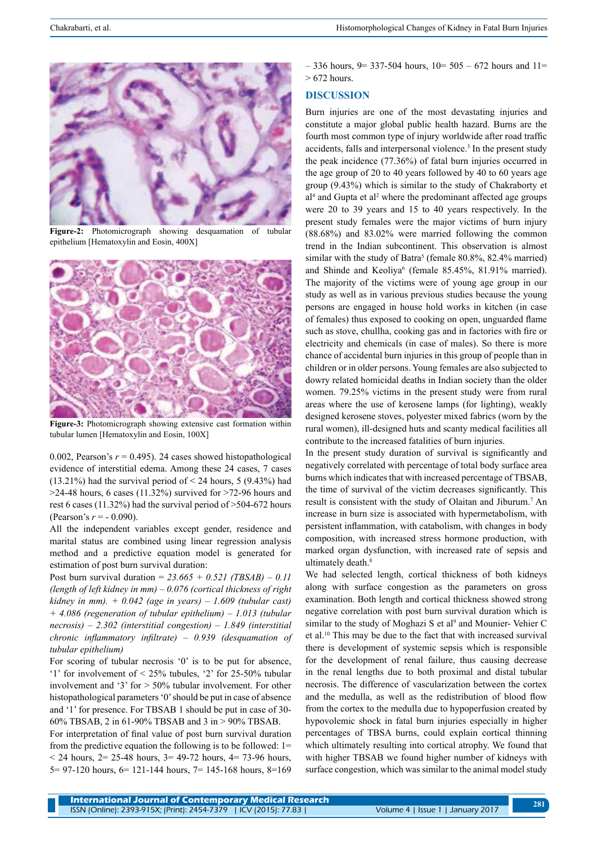

**Figure-2:** Photomicrograph showing desquamation of tubular epithelium [Hematoxylin and Eosin, 400X]



**Figure-3:** Photomicrograph showing extensive cast formation within tubular lumen [Hematoxylin and Eosin, 100X]

0.002, Pearson's  $r = 0.495$ ). 24 cases showed histopathological evidence of interstitial edema. Among these 24 cases, 7 cases  $(13.21\%)$  had the survival period of < 24 hours, 5 (9.43%) had  $>$ 24-48 hours, 6 cases (11.32%) survived for  $>$ 72-96 hours and rest 6 cases (11.32%) had the survival period of >504-672 hours (Pearson's *r* = - 0.090).

All the independent variables except gender, residence and marital status are combined using linear regression analysis method and a predictive equation model is generated for estimation of post burn survival duration:

Post burn survival duration = *23.665 + 0.521 (TBSAB) – 0.11 (length of left kidney in mm) – 0.076 (cortical thickness of right kidney in mm). + 0.042 (age in years) – 1.609 (tubular cast) + 4.086 (regeneration of tubular epithelium) – 1.013 (tubular necrosis) – 2.302 (interstitial congestion) – 1.849 (interstitial chronic inflammatory infiltrate) – 0.939 (desquamation of tubular epithelium)*

For scoring of tubular necrosis '0' is to be put for absence, '1' for involvement of  $\leq 25\%$  tubules, '2' for 25-50% tubular involvement and '3' for > 50% tubular involvement. For other histopathological parameters '0' should be put in case of absence and '1' for presence. For TBSAB 1 should be put in case of 30- 60% TBSAB, 2 in 61-90% TBSAB and 3 in > 90% TBSAB.

For interpretation of final value of post burn survival duration from the predictive equation the following is to be followed: 1= < 24 hours, 2= 25-48 hours, 3= 49-72 hours, 4= 73-96 hours, 5= 97-120 hours, 6= 121-144 hours, 7= 145-168 hours, 8=169  $-$  336 hours, 9= 337-504 hours, 10= 505 – 672 hours and 11=  $> 672$  hours.

### **Discussion**

Burn injuries are one of the most devastating injuries and constitute a major global public health hazard. Burns are the fourth most common type of injury worldwide after road traffic accidents, falls and interpersonal violence.<sup>3</sup> In the present study the peak incidence (77.36%) of fatal burn injuries occurred in the age group of 20 to 40 years followed by 40 to 60 years age group (9.43%) which is similar to the study of Chakraborty et al<sup>4</sup> and Gupta et al<sup>2</sup> where the predominant affected age groups were 20 to 39 years and 15 to 40 years respectively. In the present study females were the major victims of burn injury (88.68%) and 83.02% were married following the common trend in the Indian subcontinent. This observation is almost similar with the study of Batra<sup>5</sup> (female  $80.8\%$ ,  $82.4\%$  married) and Shinde and Keoliya<sup>6</sup> (female 85.45%, 81.91% married). The majority of the victims were of young age group in our study as well as in various previous studies because the young persons are engaged in house hold works in kitchen (in case of females) thus exposed to cooking on open, unguarded flame such as stove, chullha, cooking gas and in factories with fire or electricity and chemicals (in case of males). So there is more chance of accidental burn injuries in this group of people than in children or in older persons. Young females are also subjected to dowry related homicidal deaths in Indian society than the older women. 79.25% victims in the present study were from rural areas where the use of kerosene lamps (for lighting), weakly designed kerosene stoves, polyester mixed fabrics (worn by the rural women), ill-designed huts and scanty medical facilities all contribute to the increased fatalities of burn injuries.

In the present study duration of survival is significantly and negatively correlated with percentage of total body surface area burns which indicates that with increased percentage of TBSAB, the time of survival of the victim decreases significantly. This result is consistent with the study of Olaitan and Jiburum.7 An increase in burn size is associated with hypermetabolism, with persistent inflammation, with catabolism, with changes in body composition, with increased stress hormone production, with marked organ dysfunction, with increased rate of sepsis and ultimately death.<sup>8</sup>

We had selected length, cortical thickness of both kidneys along with surface congestion as the parameters on gross examination. Both length and cortical thickness showed strong negative correlation with post burn survival duration which is similar to the study of Moghazi S et al<sup>9</sup> and Mounier-Vehier C et al.10 This may be due to the fact that with increased survival there is development of systemic sepsis which is responsible for the development of renal failure, thus causing decrease in the renal lengths due to both proximal and distal tubular necrosis. The difference of vascularization between the cortex and the medulla, as well as the redistribution of blood flow from the cortex to the medulla due to hypoperfusion created by hypovolemic shock in fatal burn injuries especially in higher percentages of TBSA burns, could explain cortical thinning which ultimately resulting into cortical atrophy. We found that with higher TBSAB we found higher number of kidneys with surface congestion, which was similar to the animal model study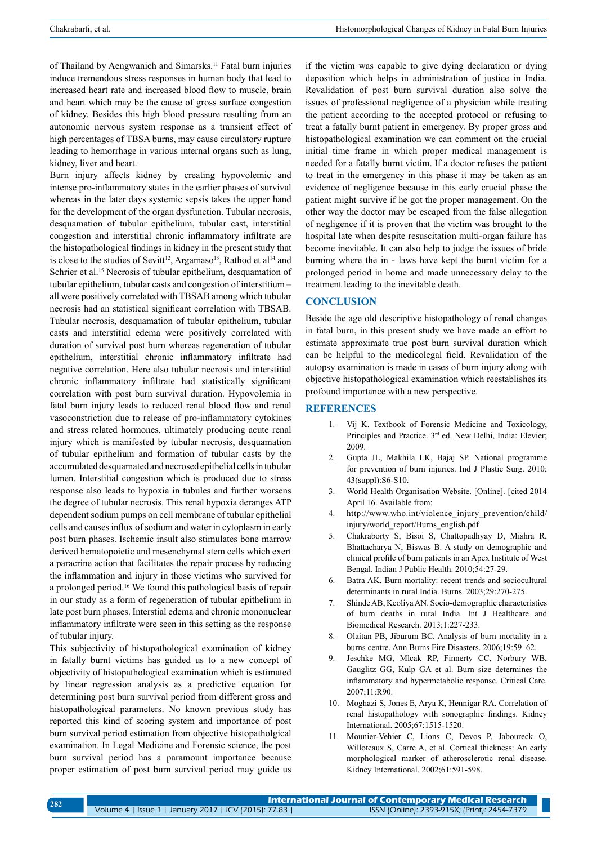of Thailand by Aengwanich and Simarsks.11 Fatal burn injuries induce tremendous stress responses in human body that lead to increased heart rate and increased blood flow to muscle, brain and heart which may be the cause of gross surface congestion of kidney. Besides this high blood pressure resulting from an autonomic nervous system response as a transient effect of high percentages of TBSA burns, may cause circulatory rupture leading to hemorrhage in various internal organs such as lung, kidney, liver and heart.

Burn injury affects kidney by creating hypovolemic and intense pro-inflammatory states in the earlier phases of survival whereas in the later days systemic sepsis takes the upper hand for the development of the organ dysfunction. Tubular necrosis, desquamation of tubular epithelium, tubular cast, interstitial congestion and interstitial chronic inflammatory infiltrate are the histopathological findings in kidney in the present study that is close to the studies of Sevitt<sup>12</sup>, Argamaso<sup>13</sup>, Rathod et al<sup>14</sup> and Schrier et al.<sup>15</sup> Necrosis of tubular epithelium, desquamation of tubular epithelium, tubular casts and congestion of interstitium – all were positively correlated with TBSAB among which tubular necrosis had an statistical significant correlation with TBSAB. Tubular necrosis, desquamation of tubular epithelium, tubular casts and interstitial edema were positively correlated with duration of survival post burn whereas regeneration of tubular epithelium, interstitial chronic inflammatory infiltrate had negative correlation. Here also tubular necrosis and interstitial chronic inflammatory infiltrate had statistically significant correlation with post burn survival duration. Hypovolemia in fatal burn injury leads to reduced renal blood flow and renal vasoconstriction due to release of pro-inflammatory cytokines and stress related hormones, ultimately producing acute renal injury which is manifested by tubular necrosis, desquamation of tubular epithelium and formation of tubular casts by the accumulated desquamated and necrosed epithelial cells in tubular lumen. Interstitial congestion which is produced due to stress response also leads to hypoxia in tubules and further worsens the degree of tubular necrosis. This renal hypoxia deranges ATP dependent sodium pumps on cell membrane of tubular epithelial cells and causes influx of sodium and water in cytoplasm in early post burn phases. Ischemic insult also stimulates bone marrow derived hematopoietic and mesenchymal stem cells which exert a paracrine action that facilitates the repair process by reducing the inflammation and injury in those victims who survived for a prolonged period.16 We found this pathological basis of repair in our study as a form of regeneration of tubular epithelium in late post burn phases. Interstial edema and chronic mononuclear inflammatory infiltrate were seen in this setting as the response of tubular injury.

This subjectivity of histopathological examination of kidney in fatally burnt victims has guided us to a new concept of objectivity of histopathological examination which is estimated by linear regression analysis as a predictive equation for determining post burn survival period from different gross and histopathological parameters. No known previous study has reported this kind of scoring system and importance of post burn survival period estimation from objective histopatholgical examination. In Legal Medicine and Forensic science, the post burn survival period has a paramount importance because proper estimation of post burn survival period may guide us

if the victim was capable to give dying declaration or dying deposition which helps in administration of justice in India. Revalidation of post burn survival duration also solve the issues of professional negligence of a physician while treating the patient according to the accepted protocol or refusing to treat a fatally burnt patient in emergency. By proper gross and histopathological examination we can comment on the crucial initial time frame in which proper medical management is needed for a fatally burnt victim. If a doctor refuses the patient to treat in the emergency in this phase it may be taken as an evidence of negligence because in this early crucial phase the patient might survive if he got the proper management. On the other way the doctor may be escaped from the false allegation of negligence if it is proven that the victim was brought to the hospital late when despite resuscitation multi-organ failure has become inevitable. It can also help to judge the issues of bride burning where the in - laws have kept the burnt victim for a prolonged period in home and made unnecessary delay to the treatment leading to the inevitable death.

## **Conclusion**

Beside the age old descriptive histopathology of renal changes in fatal burn, in this present study we have made an effort to estimate approximate true post burn survival duration which can be helpful to the medicolegal field. Revalidation of the autopsy examination is made in cases of burn injury along with objective histopathological examination which reestablishes its profound importance with a new perspective.

#### **References**

- 1. Vij K. Textbook of Forensic Medicine and Toxicology, Principles and Practice. 3<sup>rd</sup> ed. New Delhi, India: Elevier; 2009.
- 2. Gupta JL, Makhila LK, Bajaj SP. National programme for prevention of burn injuries. Ind J Plastic Surg. 2010; 43(suppl):S6-S10.
- 3. World Health Organisation Website. [Online]. [cited 2014 April 16. Available from:
- 4. http://www.who.int/violence\_injury\_prevention/child/ injury/world\_report/Burns\_english.pdf
- 5. Chakraborty S, Bisoi S, Chattopadhyay D, Mishra R, Bhattacharya N, Biswas B. A study on demographic and clinical profile of burn patients in an Apex Institute of West Bengal. Indian J Public Health. 2010;54:27-29.
- 6. Batra AK. Burn mortality: recent trends and sociocultural determinants in rural India. Burns. 2003;29:270-275.
- 7. Shinde AB, Keoliya AN. Socio-demographic characteristics of burn deaths in rural India. Int J Healthcare and Biomedical Research. 2013;1:227-233.
- 8. Olaitan PB, Jiburum BC. Analysis of burn mortality in a burns centre. Ann Burns Fire Disasters. 2006;19:59–62.
- 9. Jeschke MG, Mlcak RP, Finnerty CC, Norbury WB, Gauglitz GG, Kulp GA et al. Burn size determines the inflammatory and hypermetabolic response. Critical Care. 2007;11:R90.
- 10. Moghazi S, Jones E, Arya K, Hennigar RA. Correlation of renal histopathology with sonographic findings. Kidney International. 2005;67:1515-1520.
- 11. Mounier-Vehier C, Lions C, Devos P, Jaboureck O, Willoteaux S, Carre A, et al. Cortical thickness: An early morphological marker of atherosclerotic renal disease. Kidney International. 2002;61:591-598.